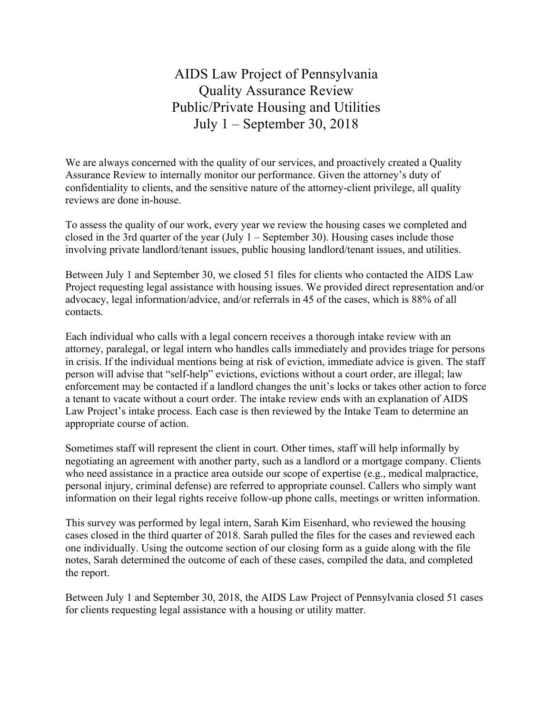AIDS Law Project of Pennsylvania Quality Assurance Review Public/Private Housing and Utilities July 1 – September 30, 2018

We are always concerned with the quality of our services, and proactively created a Quality Assurance Review to internally monitor our performance. Given the attorney's duty of confidentiality to clients, and the sensitive nature of the attorney-client privilege, all quality reviews are done in-house.

To assess the quality of our work, every year we review the housing cases we completed and closed in the 3rd quarter of the year (July  $1 -$  September 30). Housing cases include those involving private landlord/tenant issues, public housing landlord/tenant issues, and utilities.

Between July 1 and September 30, we closed 51 files for clients who contacted the AIDS Law Project requesting legal assistance with housing issues. We provided direct representation and/or advocacy, legal information/advice, and/or referrals in 45 of the cases, which is 88% of all contacts.

Each individual who calls with a legal concern receives a thorough intake review with an attorney, paralegal, or legal intern who handles calls immediately and provides triage for persons in crisis. If the individual mentions being at risk of eviction, immediate advice is given. The staff person will advise that "self-help" evictions, evictions without a court order, are illegal; law enforcement may be contacted if a landlord changes the unit's locks or takes other action to force a tenant to vacate without a court order. The intake review ends with an explanation of AIDS Law Project's intake process. Each case is then reviewed by the Intake Team to determine an appropriate course of action.

Sometimes staff will represent the client in court. Other times, staff will help informally by negotiating an agreement with another party, such as a landlord or a mortgage company. Clients who need assistance in a practice area outside our scope of expertise (e.g., medical malpractice, personal injury, criminal defense) are referred to appropriate counsel. Callers who simply want information on their legal rights receive follow-up phone calls, meetings or written information.

This survey was performed by legal intern, Sarah Kim Eisenhard, who reviewed the housing cases closed in the third quarter of 2018. Sarah pulled the files for the cases and reviewed each one individually. Using the outcome section of our closing form as a guide along with the file notes, Sarah determined the outcome of each of these cases, compiled the data, and completed the report.

Between July 1 and September 30, 2018, the AIDS Law Project of Pennsylvania closed 51 cases for clients requesting legal assistance with a housing or utility matter.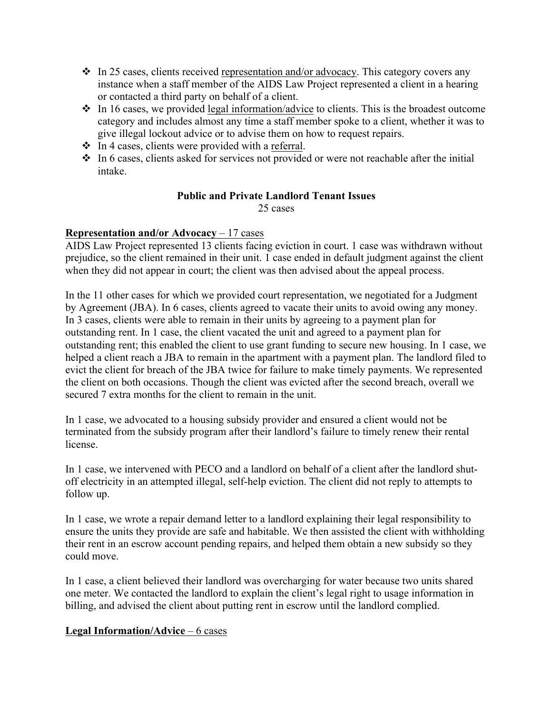- $\cdot$  In 25 cases, clients received representation and/or advocacy. This category covers any instance when a staff member of the AIDS Law Project represented a client in a hearing or contacted a third party on behalf of a client.
- $\cdot$  In 16 cases, we provided legal information/advice to clients. This is the broadest outcome category and includes almost any time a staff member spoke to a client, whether it was to give illegal lockout advice or to advise them on how to request repairs.
- $\cdot \cdot$  In 4 cases, clients were provided with a referral.
- $\cdot$  In 6 cases, clients asked for services not provided or were not reachable after the initial intake.

# **Public and Private Landlord Tenant Issues**

25 cases

## **Representation and/or Advocacy** – 17 cases

AIDS Law Project represented 13 clients facing eviction in court. 1 case was withdrawn without prejudice, so the client remained in their unit. 1 case ended in default judgment against the client when they did not appear in court; the client was then advised about the appeal process.

In the 11 other cases for which we provided court representation, we negotiated for a Judgment by Agreement (JBA). In 6 cases, clients agreed to vacate their units to avoid owing any money. In 3 cases, clients were able to remain in their units by agreeing to a payment plan for outstanding rent. In 1 case, the client vacated the unit and agreed to a payment plan for outstanding rent; this enabled the client to use grant funding to secure new housing. In 1 case, we helped a client reach a JBA to remain in the apartment with a payment plan. The landlord filed to evict the client for breach of the JBA twice for failure to make timely payments. We represented the client on both occasions. Though the client was evicted after the second breach, overall we secured 7 extra months for the client to remain in the unit.

In 1 case, we advocated to a housing subsidy provider and ensured a client would not be terminated from the subsidy program after their landlord's failure to timely renew their rental license.

In 1 case, we intervened with PECO and a landlord on behalf of a client after the landlord shutoff electricity in an attempted illegal, self-help eviction. The client did not reply to attempts to follow up.

In 1 case, we wrote a repair demand letter to a landlord explaining their legal responsibility to ensure the units they provide are safe and habitable. We then assisted the client with withholding their rent in an escrow account pending repairs, and helped them obtain a new subsidy so they could move.

In 1 case, a client believed their landlord was overcharging for water because two units shared one meter. We contacted the landlord to explain the client's legal right to usage information in billing, and advised the client about putting rent in escrow until the landlord complied.

## **Legal Information/Advice** – 6 cases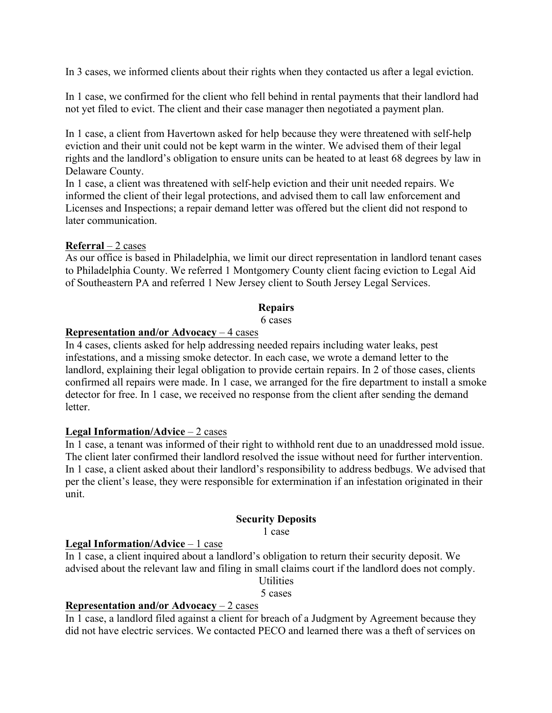In 3 cases, we informed clients about their rights when they contacted us after a legal eviction.

In 1 case, we confirmed for the client who fell behind in rental payments that their landlord had not yet filed to evict. The client and their case manager then negotiated a payment plan.

In 1 case, a client from Havertown asked for help because they were threatened with self-help eviction and their unit could not be kept warm in the winter. We advised them of their legal rights and the landlord's obligation to ensure units can be heated to at least 68 degrees by law in Delaware County.

In 1 case, a client was threatened with self-help eviction and their unit needed repairs. We informed the client of their legal protections, and advised them to call law enforcement and Licenses and Inspections; a repair demand letter was offered but the client did not respond to later communication.

### **Referral** – 2 cases

As our office is based in Philadelphia, we limit our direct representation in landlord tenant cases to Philadelphia County. We referred 1 Montgomery County client facing eviction to Legal Aid of Southeastern PA and referred 1 New Jersey client to South Jersey Legal Services.

### **Repairs**

6 cases

# **Representation and/or Advocacy** – 4 cases

In 4 cases, clients asked for help addressing needed repairs including water leaks, pest infestations, and a missing smoke detector. In each case, we wrote a demand letter to the landlord, explaining their legal obligation to provide certain repairs. In 2 of those cases, clients confirmed all repairs were made. In 1 case, we arranged for the fire department to install a smoke detector for free. In 1 case, we received no response from the client after sending the demand **letter** 

### **Legal Information/Advice** – 2 cases

In 1 case, a tenant was informed of their right to withhold rent due to an unaddressed mold issue. The client later confirmed their landlord resolved the issue without need for further intervention. In 1 case, a client asked about their landlord's responsibility to address bedbugs. We advised that per the client's lease, they were responsible for extermination if an infestation originated in their unit.

### **Security Deposits**

1 case

### **Legal Information/Advice** – 1 case

In 1 case, a client inquired about a landlord's obligation to return their security deposit. We advised about the relevant law and filing in small claims court if the landlord does not comply.

**Utilities** 

5 cases

## **Representation and/or Advocacy** – 2 cases

In 1 case, a landlord filed against a client for breach of a Judgment by Agreement because they did not have electric services. We contacted PECO and learned there was a theft of services on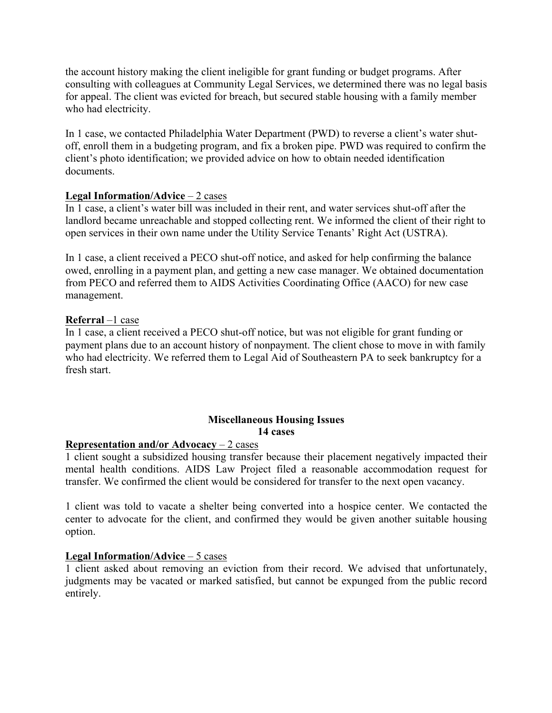the account history making the client ineligible for grant funding or budget programs. After consulting with colleagues at Community Legal Services, we determined there was no legal basis for appeal. The client was evicted for breach, but secured stable housing with a family member who had electricity.

In 1 case, we contacted Philadelphia Water Department (PWD) to reverse a client's water shutoff, enroll them in a budgeting program, and fix a broken pipe. PWD was required to confirm the client's photo identification; we provided advice on how to obtain needed identification documents.

## **Legal Information/Advice** – 2 cases

In 1 case, a client's water bill was included in their rent, and water services shut-off after the landlord became unreachable and stopped collecting rent. We informed the client of their right to open services in their own name under the Utility Service Tenants' Right Act (USTRA).

In 1 case, a client received a PECO shut-off notice, and asked for help confirming the balance owed, enrolling in a payment plan, and getting a new case manager. We obtained documentation from PECO and referred them to AIDS Activities Coordinating Office (AACO) for new case management.

### **Referral** –1 case

In 1 case, a client received a PECO shut-off notice, but was not eligible for grant funding or payment plans due to an account history of nonpayment. The client chose to move in with family who had electricity. We referred them to Legal Aid of Southeastern PA to seek bankruptcy for a fresh start.

## **Miscellaneous Housing Issues 14 cases**

### **Representation and/or Advocacy** – 2 cases

1 client sought a subsidized housing transfer because their placement negatively impacted their mental health conditions. AIDS Law Project filed a reasonable accommodation request for transfer. We confirmed the client would be considered for transfer to the next open vacancy.

1 client was told to vacate a shelter being converted into a hospice center. We contacted the center to advocate for the client, and confirmed they would be given another suitable housing option.

### **Legal Information/Advice** – 5 cases

1 client asked about removing an eviction from their record. We advised that unfortunately, judgments may be vacated or marked satisfied, but cannot be expunged from the public record entirely.